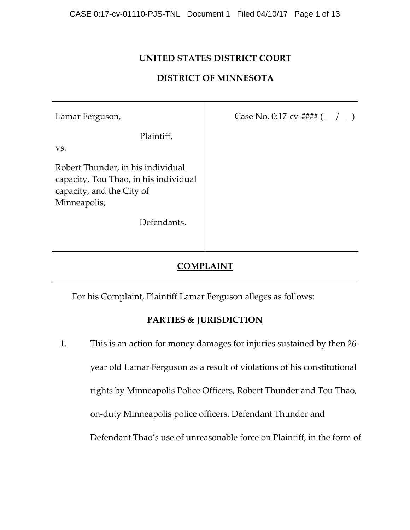## **UNITED STATES DISTRICT COURT**

#### **DISTRICT OF MINNESOTA**

| Lamar Ferguson,                                                                                                         | Case No. 0:17-cv-#### $($ |
|-------------------------------------------------------------------------------------------------------------------------|---------------------------|
| Plaintiff,<br>VS.                                                                                                       |                           |
| Robert Thunder, in his individual<br>capacity, Tou Thao, in his individual<br>capacity, and the City of<br>Minneapolis, |                           |
| Defendants.                                                                                                             |                           |

## **COMPLAINT**

For his Complaint, Plaintiff Lamar Ferguson alleges as follows:

#### **PARTIES & JURISDICTION**

1. This is an action for money damages for injuries sustained by then 26‐ year old Lamar Ferguson as a result of violations of his constitutional rights by Minneapolis Police Officers, Robert Thunder and Tou Thao, on‐duty Minneapolis police officers. Defendant Thunder and Defendant Thao's use of unreasonable force on Plaintiff, in the form of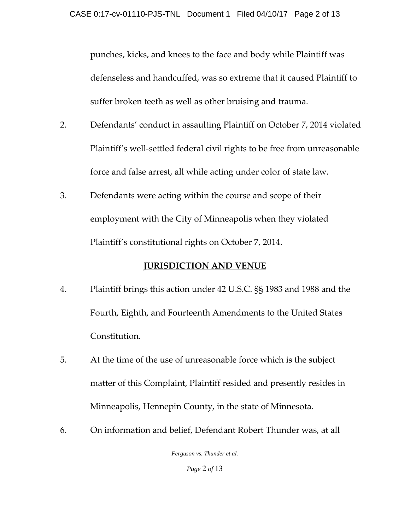punches, kicks, and knees to the face and body while Plaintiff was defenseless and handcuffed, was so extreme that it caused Plaintiff to suffer broken teeth as well as other bruising and trauma.

- 2. Defendants' conduct in assaulting Plaintiff on October 7, 2014 violated Plaintiff's well-settled federal civil rights to be free from unreasonable force and false arrest, all while acting under color of state law.
- 3. Defendants were acting within the course and scope of their employment with the City of Minneapolis when they violated Plaintiff's constitutional rights on October 7, 2014.

## **JURISDICTION AND VENUE**

- 4. Plaintiff brings this action under 42 U.S.C. §§ 1983 and 1988 and the Fourth, Eighth, and Fourteenth Amendments to the United States Constitution.
- 5. At the time of the use of unreasonable force which is the subject matter of this Complaint, Plaintiff resided and presently resides in Minneapolis, Hennepin County, in the state of Minnesota.
- 6. On information and belief, Defendant Robert Thunder was, at all

*Ferguson vs. Thunder et al.* 

*Page* 2 *of* 13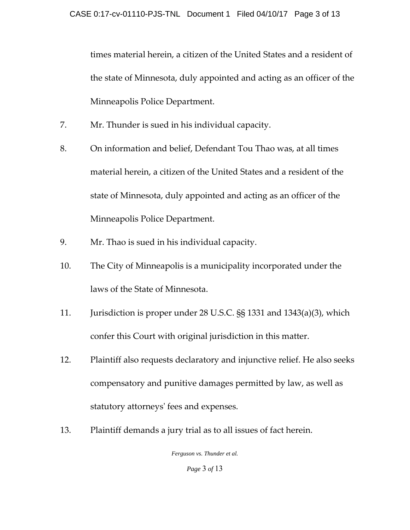times material herein, a citizen of the United States and a resident of the state of Minnesota, duly appointed and acting as an officer of the Minneapolis Police Department.

- 7. Mr. Thunder is sued in his individual capacity.
- 8. On information and belief, Defendant Tou Thao was, at all times material herein, a citizen of the United States and a resident of the state of Minnesota, duly appointed and acting as an officer of the Minneapolis Police Department.
- 9. Mr. Thao is sued in his individual capacity.
- 10. The City of Minneapolis is a municipality incorporated under the laws of the State of Minnesota.
- 11. Jurisdiction is proper under 28 U.S.C. §§ 1331 and 1343(a)(3), which confer this Court with original jurisdiction in this matter.
- 12. Plaintiff also requests declaratory and injunctive relief. He also seeks compensatory and punitive damages permitted by law, as well as statutory attorneysʹ fees and expenses.
- 13. Plaintiff demands a jury trial as to all issues of fact herein.

*Ferguson vs. Thunder et al.* 

*Page* 3 *of* 13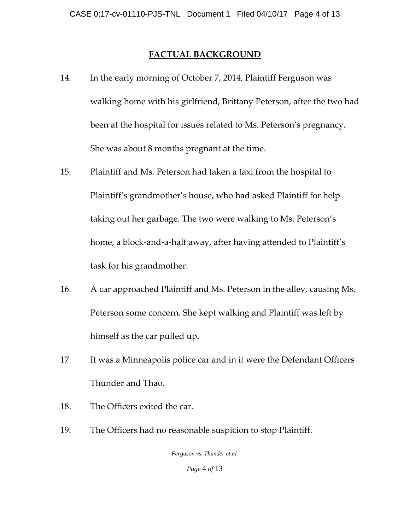## **FACTUAL BACKGROUND**

- 14. In the early morning of October 7, 2014, Plaintiff Ferguson was walking home with his girlfriend, Brittany Peterson, after the two had been at the hospital for issues related to Ms. Peterson's pregnancy. She was about 8 months pregnant at the time.
- 15. Plaintiff and Ms. Peterson had taken a taxi from the hospital to Plaintiff's grandmother's house, who had asked Plaintiff for help taking out her garbage. The two were walking to Ms. Peterson's home, a block-and-a-half away, after having attended to Plaintiff's task for his grandmother.
- 16. A car approached Plaintiff and Ms. Peterson in the alley, causing Ms. Peterson some concern. She kept walking and Plaintiff was left by himself as the car pulled up.
- 17. It was a Minneapolis police car and in it were the Defendant Officers Thunder and Thao.
- 18. The Officers exited the car.
- 19. The Officers had no reasonable suspicion to stop Plaintiff.

*Ferguson vs. Thunder et al.* 

*Page* 4 *of* 13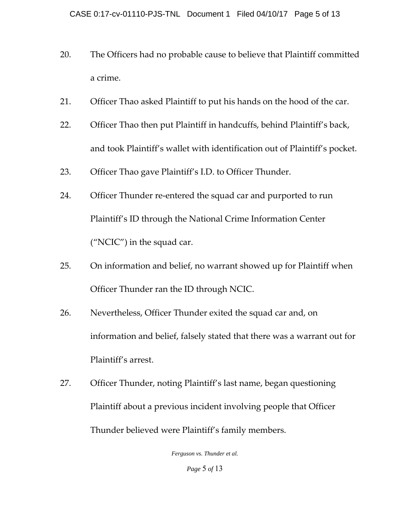- 20. The Officers had no probable cause to believe that Plaintiff committed a crime.
- 21. Officer Thao asked Plaintiff to put his hands on the hood of the car.
- 22. Officer Thao then put Plaintiff in handcuffs, behind Plaintiff's back, and took Plaintiff's wallet with identification out of Plaintiff's pocket.
- 23. Officer Thao gave Plaintiff's I.D. to Officer Thunder.
- 24. Officer Thunder re-entered the squad car and purported to run Plaintiff's ID through the National Crime Information Center ("NCIC") in the squad car.
- 25. On information and belief, no warrant showed up for Plaintiff when Officer Thunder ran the ID through NCIC.
- 26. Nevertheless, Officer Thunder exited the squad car and, on information and belief, falsely stated that there was a warrant out for Plaintiff's arrest.
- 27. Officer Thunder, noting Plaintiff's last name, began questioning Plaintiff about a previous incident involving people that Officer Thunder believed were Plaintiff's family members.

*Ferguson vs. Thunder et al. Page* 5 *of* 13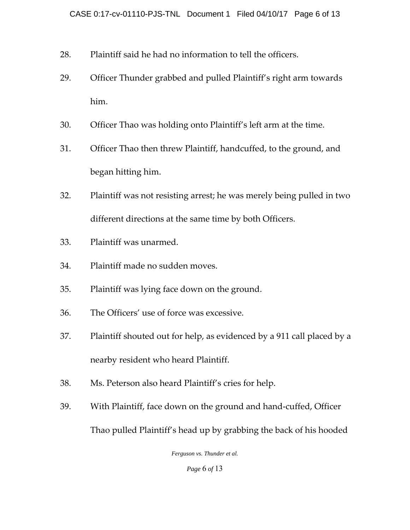- 28. Plaintiff said he had no information to tell the officers.
- 29. Officer Thunder grabbed and pulled Plaintiff's right arm towards him.
- 30. Officer Thao was holding onto Plaintiff's left arm at the time.
- 31. Officer Thao then threw Plaintiff, handcuffed, to the ground, and began hitting him.
- 32. Plaintiff was not resisting arrest; he was merely being pulled in two different directions at the same time by both Officers.
- 33. Plaintiff was unarmed.
- 34. Plaintiff made no sudden moves.
- 35. Plaintiff was lying face down on the ground.
- 36. The Officers' use of force was excessive.
- 37. Plaintiff shouted out for help, as evidenced by a 911 call placed by a nearby resident who heard Plaintiff.
- 38. Ms. Peterson also heard Plaintiff's cries for help.
- 39. With Plaintiff, face down on the ground and hand‐cuffed, Officer Thao pulled Plaintiff's head up by grabbing the back of his hooded

*Ferguson vs. Thunder et al.* 

*Page* 6 *of* 13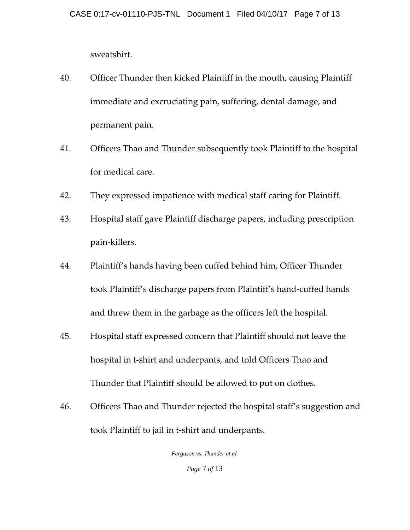sweatshirt.

- 40. Officer Thunder then kicked Plaintiff in the mouth, causing Plaintiff immediate and excruciating pain, suffering, dental damage, and permanent pain.
- 41. Officers Thao and Thunder subsequently took Plaintiff to the hospital for medical care.
- 42. They expressed impatience with medical staff caring for Plaintiff.
- 43. Hospital staff gave Plaintiff discharge papers, including prescription pain‐killers.
- 44. Plaintiff's hands having been cuffed behind him, Officer Thunder took Plaintiff's discharge papers from Plaintiff's hand‐cuffed hands and threw them in the garbage as the officers left the hospital.
- 45. Hospital staff expressed concern that Plaintiff should not leave the hospital in t-shirt and underpants, and told Officers Thao and Thunder that Plaintiff should be allowed to put on clothes.
- 46. Officers Thao and Thunder rejected the hospital staff's suggestion and took Plaintiff to jail in t‐shirt and underpants.

*Ferguson vs. Thunder et al. Page* 7 *of* 13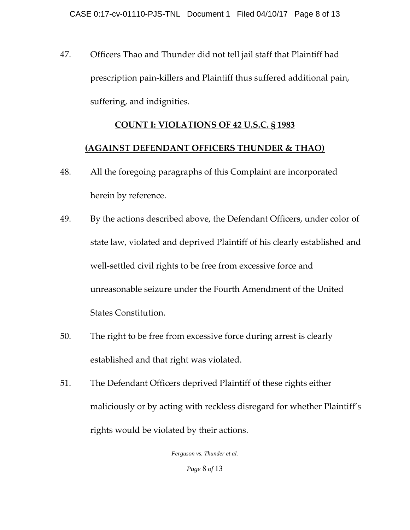47. Officers Thao and Thunder did not tell jail staff that Plaintiff had prescription pain‐killers and Plaintiff thus suffered additional pain, suffering, and indignities.

### **COUNT I: VIOLATIONS OF 42 U.S.C. § 1983**

#### **(AGAINST DEFENDANT OFFICERS THUNDER & THAO)**

- 48. All the foregoing paragraphs of this Complaint are incorporated herein by reference.
- 49. By the actions described above, the Defendant Officers, under color of state law, violated and deprived Plaintiff of his clearly established and well-settled civil rights to be free from excessive force and unreasonable seizure under the Fourth Amendment of the United States Constitution.
- 50. The right to be free from excessive force during arrest is clearly established and that right was violated.
- 51. The Defendant Officers deprived Plaintiff of these rights either maliciously or by acting with reckless disregard for whether Plaintiff's rights would be violated by their actions.

*Ferguson vs. Thunder et al. Page* 8 *of* 13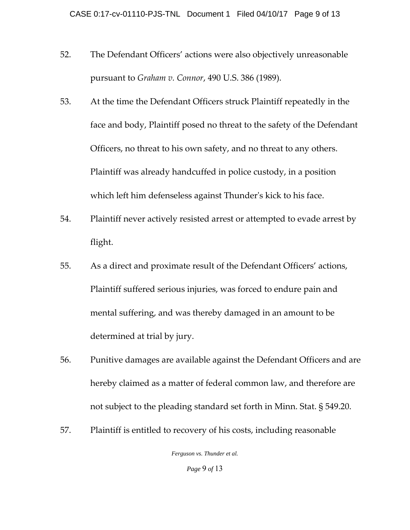- 52. The Defendant Officers' actions were also objectively unreasonable pursuant to *Graham v. Connor*, 490 U.S. 386 (1989).
- 53. At the time the Defendant Officers struck Plaintiff repeatedly in the face and body, Plaintiff posed no threat to the safety of the Defendant Officers, no threat to his own safety, and no threat to any others. Plaintiff was already handcuffed in police custody, in a position which left him defenseless against Thunder's kick to his face.
- 54. Plaintiff never actively resisted arrest or attempted to evade arrest by flight.
- 55. As a direct and proximate result of the Defendant Officers' actions, Plaintiff suffered serious injuries, was forced to endure pain and mental suffering, and was thereby damaged in an amount to be determined at trial by jury.
- 56. Punitive damages are available against the Defendant Officers and are hereby claimed as a matter of federal common law, and therefore are not subject to the pleading standard set forth in Minn. Stat. § 549.20.
- 57. Plaintiff is entitled to recovery of his costs, including reasonable

*Ferguson vs. Thunder et al.* 

*Page* 9 *of* 13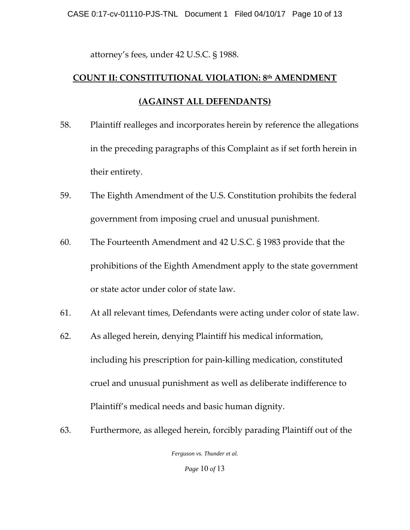attorney's fees, under 42 U.S.C. § 1988.

# **COUNT II: CONSTITUTIONAL VIOLATION: 8th AMENDMENT (AGAINST ALL DEFENDANTS)**

- 58. Plaintiff realleges and incorporates herein by reference the allegations in the preceding paragraphs of this Complaint as if set forth herein in their entirety.
- 59. The Eighth Amendment of the U.S. Constitution prohibits the federal government from imposing cruel and unusual punishment.
- 60. The Fourteenth Amendment and 42 U.S.C. § 1983 provide that the prohibitions of the Eighth Amendment apply to the state government or state actor under color of state law.
- 61. At all relevant times, Defendants were acting under color of state law.
- 62. As alleged herein, denying Plaintiff his medical information, including his prescription for pain‐killing medication, constituted cruel and unusual punishment as well as deliberate indifference to Plaintiff's medical needs and basic human dignity.
- 63. Furthermore, as alleged herein, forcibly parading Plaintiff out of the

*Ferguson vs. Thunder et al.* 

*Page* 10 *of* 13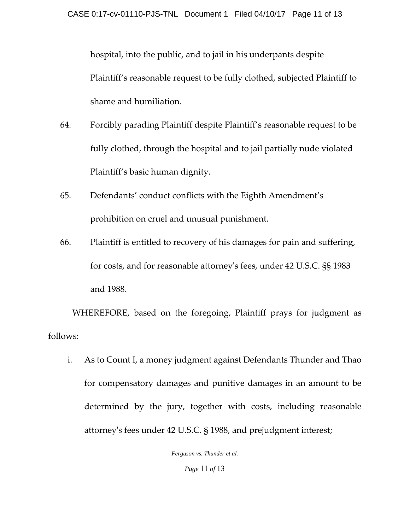hospital, into the public, and to jail in his underpants despite Plaintiff's reasonable request to be fully clothed, subjected Plaintiff to shame and humiliation.

- 64. Forcibly parading Plaintiff despite Plaintiff's reasonable request to be fully clothed, through the hospital and to jail partially nude violated Plaintiff's basic human dignity.
- 65. Defendants' conduct conflicts with the Eighth Amendment's prohibition on cruel and unusual punishment.
- 66. Plaintiff is entitled to recovery of his damages for pain and suffering, for costs, and for reasonable attorneyʹs fees, under 42 U.S.C. §§ 1983 and 1988.

WHEREFORE, based on the foregoing, Plaintiff prays for judgment as follows:

i. As to Count I, a money judgment against Defendants Thunder and Thao for compensatory damages and punitive damages in an amount to be determined by the jury, together with costs, including reasonable attorneyʹs fees under 42 U.S.C. § 1988, and prejudgment interest;

*Ferguson vs. Thunder et al.* 

*Page* 11 *of* 13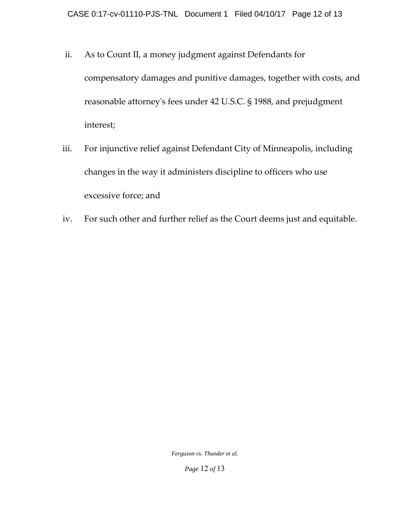- ii. As to Count II, a money judgment against Defendants for compensatory damages and punitive damages, together with costs, and reasonable attorneyʹs fees under 42 U.S.C. § 1988, and prejudgment interest;
- iii. For injunctive relief against Defendant City of Minneapolis, including changes in the way it administers discipline to officers who use excessive force; and
- iv. For such other and further relief as the Court deems just and equitable.

*Ferguson vs. Thunder et al.* 

*Page* 12 *of* 13